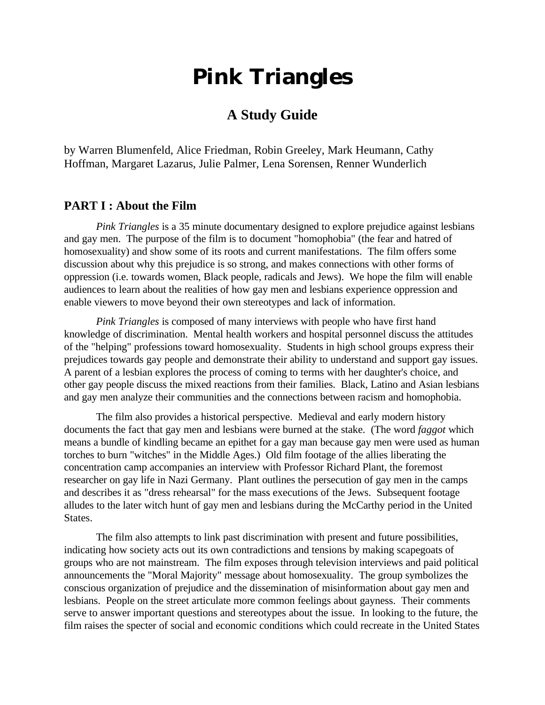# **Pink Triangles**

# **A Study Guide**

by Warren Blumenfeld, Alice Friedman, Robin Greeley, Mark Heumann, Cathy Hoffman, Margaret Lazarus, Julie Palmer, Lena Sorensen, Renner Wunderlich

# **PART I : About the Film**

*Pink Triangles* is a 35 minute documentary designed to explore prejudice against lesbians and gay men. The purpose of the film is to document "homophobia" (the fear and hatred of homosexuality) and show some of its roots and current manifestations. The film offers some discussion about why this prejudice is so strong, and makes connections with other forms of oppression (i.e. towards women, Black people, radicals and Jews). We hope the film will enable audiences to learn about the realities of how gay men and lesbians experience oppression and enable viewers to move beyond their own stereotypes and lack of information.

*Pink Triangles* is composed of many interviews with people who have first hand knowledge of discrimination. Mental health workers and hospital personnel discuss the attitudes of the "helping" professions toward homosexuality. Students in high school groups express their prejudices towards gay people and demonstrate their ability to understand and support gay issues. A parent of a lesbian explores the process of coming to terms with her daughter's choice, and other gay people discuss the mixed reactions from their families. Black, Latino and Asian lesbians and gay men analyze their communities and the connections between racism and homophobia.

The film also provides a historical perspective. Medieval and early modern history documents the fact that gay men and lesbians were burned at the stake. (The word *faggot* which means a bundle of kindling became an epithet for a gay man because gay men were used as human torches to burn "witches" in the Middle Ages.) Old film footage of the allies liberating the concentration camp accompanies an interview with Professor Richard Plant, the foremost researcher on gay life in Nazi Germany. Plant outlines the persecution of gay men in the camps and describes it as "dress rehearsal" for the mass executions of the Jews. Subsequent footage alludes to the later witch hunt of gay men and lesbians during the McCarthy period in the United States.

The film also attempts to link past discrimination with present and future possibilities, indicating how society acts out its own contradictions and tensions by making scapegoats of groups who are not mainstream. The film exposes through television interviews and paid political announcements the "Moral Majority" message about homosexuality. The group symbolizes the conscious organization of prejudice and the dissemination of misinformation about gay men and lesbians. People on the street articulate more common feelings about gayness. Their comments serve to answer important questions and stereotypes about the issue. In looking to the future, the film raises the specter of social and economic conditions which could recreate in the United States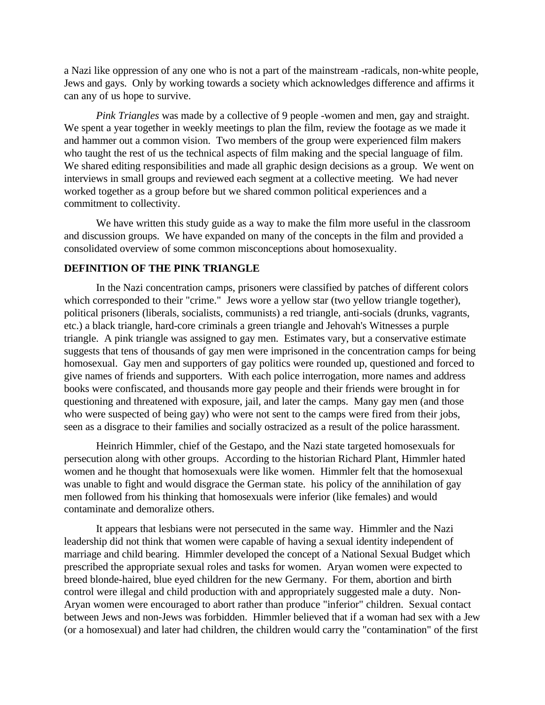a Nazi like oppression of any one who is not a part of the mainstream -radicals, non-white people, Jews and gays. Only by working towards a society which acknowledges difference and affirms it can any of us hope to survive.

*Pink Triangles* was made by a collective of 9 people -women and men, gay and straight. We spent a year together in weekly meetings to plan the film, review the footage as we made it and hammer out a common vision. Two members of the group were experienced film makers who taught the rest of us the technical aspects of film making and the special language of film. We shared editing responsibilities and made all graphic design decisions as a group. We went on interviews in small groups and reviewed each segment at a collective meeting. We had never worked together as a group before but we shared common political experiences and a commitment to collectivity.

We have written this study guide as a way to make the film more useful in the classroom and discussion groups. We have expanded on many of the concepts in the film and provided a consolidated overview of some common misconceptions about homosexuality.

#### **DEFINITION OF THE PINK TRIANGLE**

In the Nazi concentration camps, prisoners were classified by patches of different colors which corresponded to their "crime." Jews wore a yellow star (two yellow triangle together), political prisoners (liberals, socialists, communists) a red triangle, anti-socials (drunks, vagrants, etc.) a black triangle, hard-core criminals a green triangle and Jehovah's Witnesses a purple triangle. A pink triangle was assigned to gay men. Estimates vary, but a conservative estimate suggests that tens of thousands of gay men were imprisoned in the concentration camps for being homosexual. Gay men and supporters of gay politics were rounded up, questioned and forced to give names of friends and supporters. With each police interrogation, more names and address books were confiscated, and thousands more gay people and their friends were brought in for questioning and threatened with exposure, jail, and later the camps. Many gay men (and those who were suspected of being gay) who were not sent to the camps were fired from their jobs, seen as a disgrace to their families and socially ostracized as a result of the police harassment.

Heinrich Himmler, chief of the Gestapo, and the Nazi state targeted homosexuals for persecution along with other groups. According to the historian Richard Plant, Himmler hated women and he thought that homosexuals were like women. Himmler felt that the homosexual was unable to fight and would disgrace the German state. his policy of the annihilation of gay men followed from his thinking that homosexuals were inferior (like females) and would contaminate and demoralize others.

It appears that lesbians were not persecuted in the same way. Himmler and the Nazi leadership did not think that women were capable of having a sexual identity independent of marriage and child bearing. Himmler developed the concept of a National Sexual Budget which prescribed the appropriate sexual roles and tasks for women. Aryan women were expected to breed blonde-haired, blue eyed children for the new Germany. For them, abortion and birth control were illegal and child production with and appropriately suggested male a duty. Non-Aryan women were encouraged to abort rather than produce "inferior" children. Sexual contact between Jews and non-Jews was forbidden. Himmler believed that if a woman had sex with a Jew (or a homosexual) and later had children, the children would carry the "contamination" of the first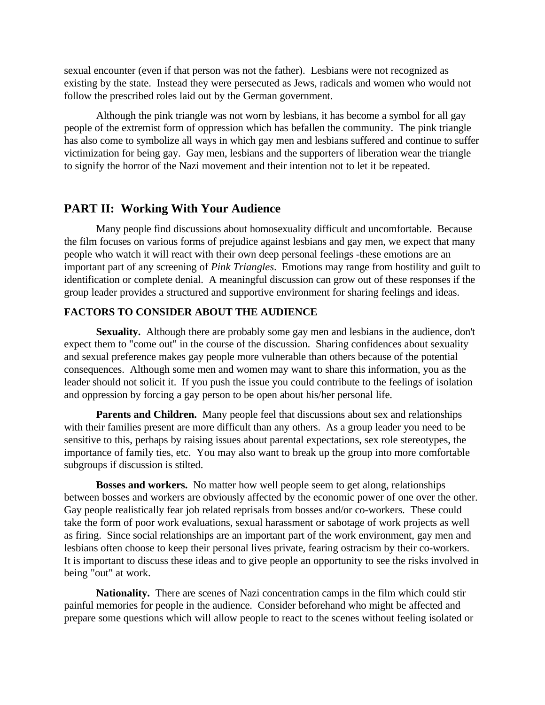sexual encounter (even if that person was not the father). Lesbians were not recognized as existing by the state. Instead they were persecuted as Jews, radicals and women who would not follow the prescribed roles laid out by the German government.

Although the pink triangle was not worn by lesbians, it has become a symbol for all gay people of the extremist form of oppression which has befallen the community. The pink triangle has also come to symbolize all ways in which gay men and lesbians suffered and continue to suffer victimization for being gay. Gay men, lesbians and the supporters of liberation wear the triangle to signify the horror of the Nazi movement and their intention not to let it be repeated.

#### **PART II: Working With Your Audience**

Many people find discussions about homosexuality difficult and uncomfortable. Because the film focuses on various forms of prejudice against lesbians and gay men, we expect that many people who watch it will react with their own deep personal feelings -these emotions are an important part of any screening of *Pink Triangles*. Emotions may range from hostility and guilt to identification or complete denial. A meaningful discussion can grow out of these responses if the group leader provides a structured and supportive environment for sharing feelings and ideas.

#### **FACTORS TO CONSIDER ABOUT THE AUDIENCE**

**Sexuality.** Although there are probably some gay men and lesbians in the audience, don't expect them to "come out" in the course of the discussion. Sharing confidences about sexuality and sexual preference makes gay people more vulnerable than others because of the potential consequences. Although some men and women may want to share this information, you as the leader should not solicit it. If you push the issue you could contribute to the feelings of isolation and oppression by forcing a gay person to be open about his/her personal life.

**Parents and Children.** Many people feel that discussions about sex and relationships with their families present are more difficult than any others. As a group leader you need to be sensitive to this, perhaps by raising issues about parental expectations, sex role stereotypes, the importance of family ties, etc. You may also want to break up the group into more comfortable subgroups if discussion is stilted.

**Bosses and workers.** No matter how well people seem to get along, relationships between bosses and workers are obviously affected by the economic power of one over the other. Gay people realistically fear job related reprisals from bosses and/or co-workers. These could take the form of poor work evaluations, sexual harassment or sabotage of work projects as well as firing. Since social relationships are an important part of the work environment, gay men and lesbians often choose to keep their personal lives private, fearing ostracism by their co-workers. It is important to discuss these ideas and to give people an opportunity to see the risks involved in being "out" at work.

**Nationality.** There are scenes of Nazi concentration camps in the film which could stir painful memories for people in the audience. Consider beforehand who might be affected and prepare some questions which will allow people to react to the scenes without feeling isolated or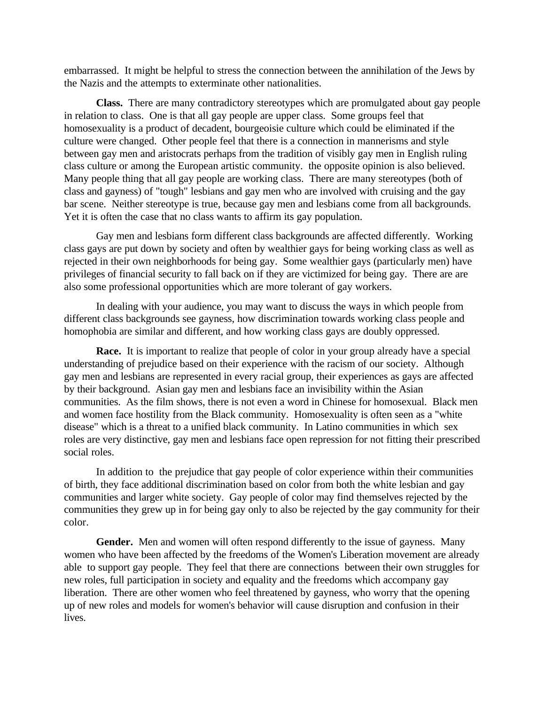embarrassed. It might be helpful to stress the connection between the annihilation of the Jews by the Nazis and the attempts to exterminate other nationalities.

**Class.** There are many contradictory stereotypes which are promulgated about gay people in relation to class. One is that all gay people are upper class. Some groups feel that homosexuality is a product of decadent, bourgeoisie culture which could be eliminated if the culture were changed. Other people feel that there is a connection in mannerisms and style between gay men and aristocrats perhaps from the tradition of visibly gay men in English ruling class culture or among the European artistic community. the opposite opinion is also believed. Many people thing that all gay people are working class. There are many stereotypes (both of class and gayness) of "tough" lesbians and gay men who are involved with cruising and the gay bar scene. Neither stereotype is true, because gay men and lesbians come from all backgrounds. Yet it is often the case that no class wants to affirm its gay population.

Gay men and lesbians form different class backgrounds are affected differently. Working class gays are put down by society and often by wealthier gays for being working class as well as rejected in their own neighborhoods for being gay. Some wealthier gays (particularly men) have privileges of financial security to fall back on if they are victimized for being gay. There are are also some professional opportunities which are more tolerant of gay workers.

In dealing with your audience, you may want to discuss the ways in which people from different class backgrounds see gayness, how discrimination towards working class people and homophobia are similar and different, and how working class gays are doubly oppressed.

**Race.** It is important to realize that people of color in your group already have a special understanding of prejudice based on their experience with the racism of our society. Although gay men and lesbians are represented in every racial group, their experiences as gays are affected by their background. Asian gay men and lesbians face an invisibility within the Asian communities. As the film shows, there is not even a word in Chinese for homosexual. Black men and women face hostility from the Black community. Homosexuality is often seen as a "white disease" which is a threat to a unified black community. In Latino communities in which sex roles are very distinctive, gay men and lesbians face open repression for not fitting their prescribed social roles.

In addition to the prejudice that gay people of color experience within their communities of birth, they face additional discrimination based on color from both the white lesbian and gay communities and larger white society. Gay people of color may find themselves rejected by the communities they grew up in for being gay only to also be rejected by the gay community for their color.

**Gender.** Men and women will often respond differently to the issue of gayness. Many women who have been affected by the freedoms of the Women's Liberation movement are already able to support gay people. They feel that there are connections between their own struggles for new roles, full participation in society and equality and the freedoms which accompany gay liberation. There are other women who feel threatened by gayness, who worry that the opening up of new roles and models for women's behavior will cause disruption and confusion in their lives.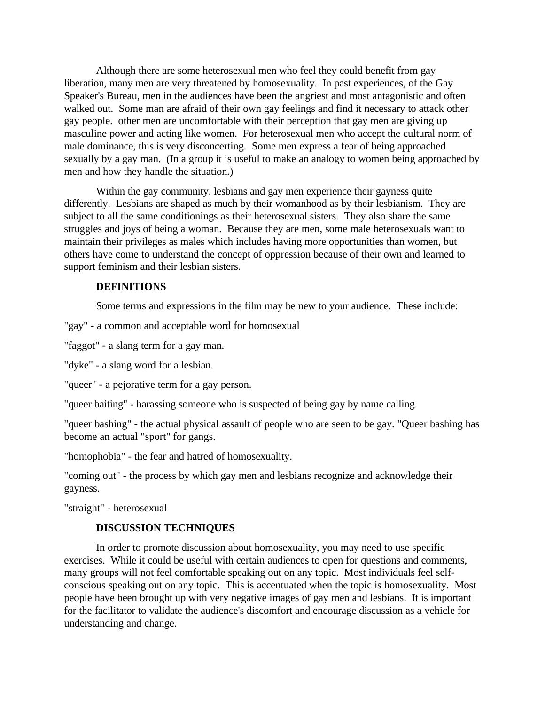Although there are some heterosexual men who feel they could benefit from gay liberation, many men are very threatened by homosexuality. In past experiences, of the Gay Speaker's Bureau, men in the audiences have been the angriest and most antagonistic and often walked out. Some man are afraid of their own gay feelings and find it necessary to attack other gay people. other men are uncomfortable with their perception that gay men are giving up masculine power and acting like women. For heterosexual men who accept the cultural norm of male dominance, this is very disconcerting. Some men express a fear of being approached sexually by a gay man. (In a group it is useful to make an analogy to women being approached by men and how they handle the situation.)

Within the gay community, lesbians and gay men experience their gayness quite differently. Lesbians are shaped as much by their womanhood as by their lesbianism. They are subject to all the same conditionings as their heterosexual sisters. They also share the same struggles and joys of being a woman. Because they are men, some male heterosexuals want to maintain their privileges as males which includes having more opportunities than women, but others have come to understand the concept of oppression because of their own and learned to support feminism and their lesbian sisters.

#### **DEFINITIONS**

Some terms and expressions in the film may be new to your audience. These include:

"gay" - a common and acceptable word for homosexual

"faggot" - a slang term for a gay man.

"dyke" - a slang word for a lesbian.

"queer" - a pejorative term for a gay person.

"queer baiting" - harassing someone who is suspected of being gay by name calling.

"queer bashing" - the actual physical assault of people who are seen to be gay. "Queer bashing has become an actual "sport" for gangs.

"homophobia" - the fear and hatred of homosexuality.

"coming out" - the process by which gay men and lesbians recognize and acknowledge their gayness.

"straight" - heterosexual

#### **DISCUSSION TECHNIQUES**

In order to promote discussion about homosexuality, you may need to use specific exercises. While it could be useful with certain audiences to open for questions and comments, many groups will not feel comfortable speaking out on any topic. Most individuals feel selfconscious speaking out on any topic. This is accentuated when the topic is homosexuality. Most people have been brought up with very negative images of gay men and lesbians. It is important for the facilitator to validate the audience's discomfort and encourage discussion as a vehicle for understanding and change.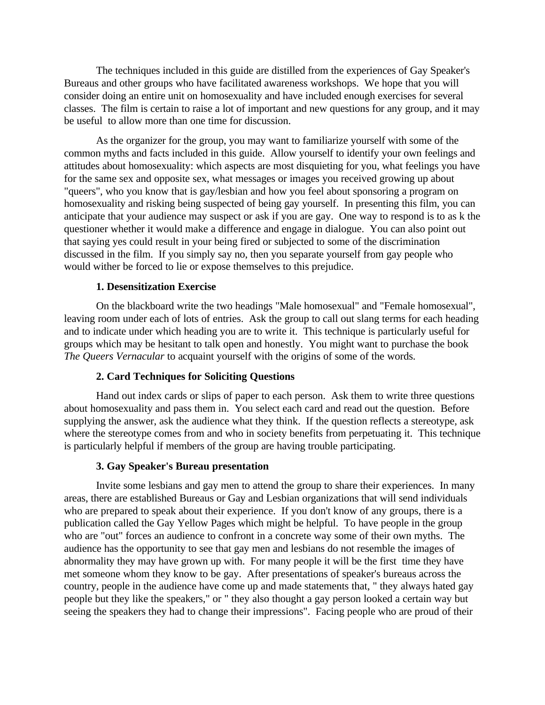The techniques included in this guide are distilled from the experiences of Gay Speaker's Bureaus and other groups who have facilitated awareness workshops. We hope that you will consider doing an entire unit on homosexuality and have included enough exercises for several classes. The film is certain to raise a lot of important and new questions for any group, and it may be useful to allow more than one time for discussion.

As the organizer for the group, you may want to familiarize yourself with some of the common myths and facts included in this guide. Allow yourself to identify your own feelings and attitudes about homosexuality: which aspects are most disquieting for you, what feelings you have for the same sex and opposite sex, what messages or images you received growing up about "queers", who you know that is gay/lesbian and how you feel about sponsoring a program on homosexuality and risking being suspected of being gay yourself. In presenting this film, you can anticipate that your audience may suspect or ask if you are gay. One way to respond is to as k the questioner whether it would make a difference and engage in dialogue. You can also point out that saying yes could result in your being fired or subjected to some of the discrimination discussed in the film. If you simply say no, then you separate yourself from gay people who would wither be forced to lie or expose themselves to this prejudice.

#### **1. Desensitization Exercise**

On the blackboard write the two headings "Male homosexual" and "Female homosexual", leaving room under each of lots of entries. Ask the group to call out slang terms for each heading and to indicate under which heading you are to write it. This technique is particularly useful for groups which may be hesitant to talk open and honestly. You might want to purchase the book *The Queers Vernacular* to acquaint yourself with the origins of some of the words.

#### **2. Card Techniques for Soliciting Questions**

Hand out index cards or slips of paper to each person. Ask them to write three questions about homosexuality and pass them in. You select each card and read out the question. Before supplying the answer, ask the audience what they think. If the question reflects a stereotype, ask where the stereotype comes from and who in society benefits from perpetuating it. This technique is particularly helpful if members of the group are having trouble participating.

#### **3. Gay Speaker's Bureau presentation**

Invite some lesbians and gay men to attend the group to share their experiences. In many areas, there are established Bureaus or Gay and Lesbian organizations that will send individuals who are prepared to speak about their experience. If you don't know of any groups, there is a publication called the Gay Yellow Pages which might be helpful. To have people in the group who are "out" forces an audience to confront in a concrete way some of their own myths. The audience has the opportunity to see that gay men and lesbians do not resemble the images of abnormality they may have grown up with. For many people it will be the first time they have met someone whom they know to be gay. After presentations of speaker's bureaus across the country, people in the audience have come up and made statements that, " they always hated gay people but they like the speakers," or " they also thought a gay person looked a certain way but seeing the speakers they had to change their impressions". Facing people who are proud of their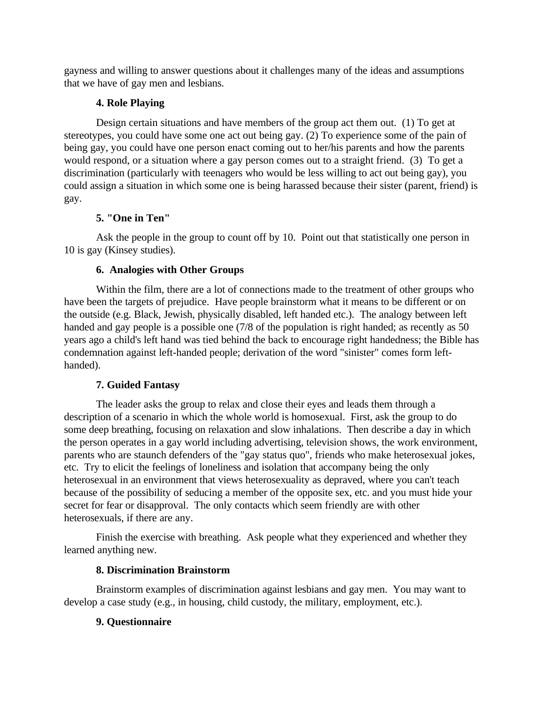gayness and willing to answer questions about it challenges many of the ideas and assumptions that we have of gay men and lesbians.

# **4. Role Playing**

Design certain situations and have members of the group act them out. (1) To get at stereotypes, you could have some one act out being gay. (2) To experience some of the pain of being gay, you could have one person enact coming out to her/his parents and how the parents would respond, or a situation where a gay person comes out to a straight friend. (3) To get a discrimination (particularly with teenagers who would be less willing to act out being gay), you could assign a situation in which some one is being harassed because their sister (parent, friend) is gay.

# **5. "One in Ten"**

Ask the people in the group to count off by 10. Point out that statistically one person in 10 is gay (Kinsey studies).

# **6. Analogies with Other Groups**

Within the film, there are a lot of connections made to the treatment of other groups who have been the targets of prejudice. Have people brainstorm what it means to be different or on the outside (e.g. Black, Jewish, physically disabled, left handed etc.). The analogy between left handed and gay people is a possible one (7/8 of the population is right handed; as recently as 50 years ago a child's left hand was tied behind the back to encourage right handedness; the Bible has condemnation against left-handed people; derivation of the word "sinister" comes form lefthanded).

# **7. Guided Fantasy**

The leader asks the group to relax and close their eyes and leads them through a description of a scenario in which the whole world is homosexual. First, ask the group to do some deep breathing, focusing on relaxation and slow inhalations. Then describe a day in which the person operates in a gay world including advertising, television shows, the work environment, parents who are staunch defenders of the "gay status quo", friends who make heterosexual jokes, etc. Try to elicit the feelings of loneliness and isolation that accompany being the only heterosexual in an environment that views heterosexuality as depraved, where you can't teach because of the possibility of seducing a member of the opposite sex, etc. and you must hide your secret for fear or disapproval. The only contacts which seem friendly are with other heterosexuals, if there are any.

Finish the exercise with breathing. Ask people what they experienced and whether they learned anything new.

# **8. Discrimination Brainstorm**

Brainstorm examples of discrimination against lesbians and gay men. You may want to develop a case study (e.g., in housing, child custody, the military, employment, etc.).

# **9. Questionnaire**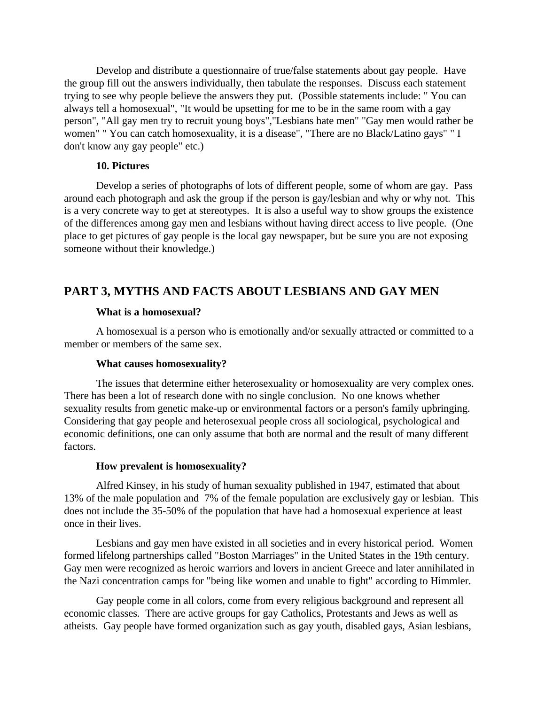Develop and distribute a questionnaire of true/false statements about gay people. Have the group fill out the answers individually, then tabulate the responses. Discuss each statement trying to see why people believe the answers they put. (Possible statements include: " You can always tell a homosexual", "It would be upsetting for me to be in the same room with a gay person", "All gay men try to recruit young boys","Lesbians hate men" "Gay men would rather be women" " You can catch homosexuality, it is a disease", "There are no Black/Latino gays" " I don't know any gay people" etc.)

#### **10. Pictures**

Develop a series of photographs of lots of different people, some of whom are gay. Pass around each photograph and ask the group if the person is gay/lesbian and why or why not. This is a very concrete way to get at stereotypes. It is also a useful way to show groups the existence of the differences among gay men and lesbians without having direct access to live people. (One place to get pictures of gay people is the local gay newspaper, but be sure you are not exposing someone without their knowledge.)

# **PART 3, MYTHS AND FACTS ABOUT LESBIANS AND GAY MEN**

#### **What is a homosexual?**

A homosexual is a person who is emotionally and/or sexually attracted or committed to a member or members of the same sex.

#### **What causes homosexuality?**

The issues that determine either heterosexuality or homosexuality are very complex ones. There has been a lot of research done with no single conclusion. No one knows whether sexuality results from genetic make-up or environmental factors or a person's family upbringing. Considering that gay people and heterosexual people cross all sociological, psychological and economic definitions, one can only assume that both are normal and the result of many different factors.

#### **How prevalent is homosexuality?**

Alfred Kinsey, in his study of human sexuality published in 1947, estimated that about 13% of the male population and 7% of the female population are exclusively gay or lesbian. This does not include the 35-50% of the population that have had a homosexual experience at least once in their lives.

Lesbians and gay men have existed in all societies and in every historical period. Women formed lifelong partnerships called "Boston Marriages" in the United States in the 19th century. Gay men were recognized as heroic warriors and lovers in ancient Greece and later annihilated in the Nazi concentration camps for "being like women and unable to fight" according to Himmler.

Gay people come in all colors, come from every religious background and represent all economic classes. There are active groups for gay Catholics, Protestants and Jews as well as atheists. Gay people have formed organization such as gay youth, disabled gays, Asian lesbians,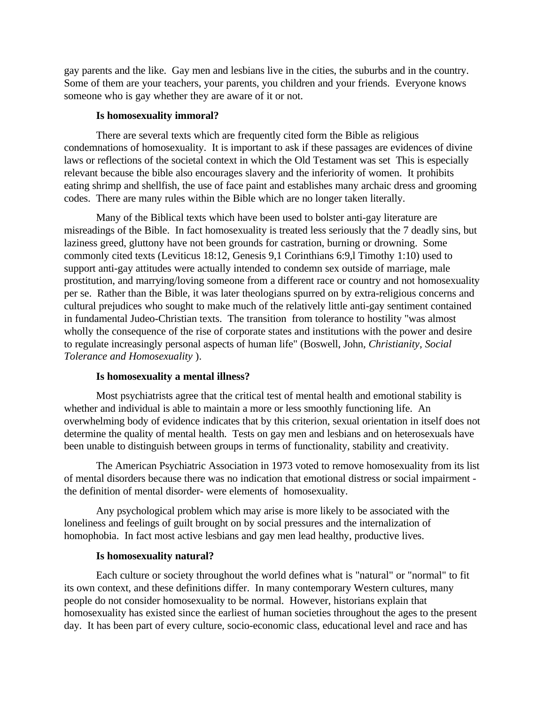gay parents and the like. Gay men and lesbians live in the cities, the suburbs and in the country. Some of them are your teachers, your parents, you children and your friends. Everyone knows someone who is gay whether they are aware of it or not.

#### **Is homosexuality immoral?**

There are several texts which are frequently cited form the Bible as religious condemnations of homosexuality. It is important to ask if these passages are evidences of divine laws or reflections of the societal context in which the Old Testament was set This is especially relevant because the bible also encourages slavery and the inferiority of women. It prohibits eating shrimp and shellfish, the use of face paint and establishes many archaic dress and grooming codes. There are many rules within the Bible which are no longer taken literally.

Many of the Biblical texts which have been used to bolster anti-gay literature are misreadings of the Bible. In fact homosexuality is treated less seriously that the 7 deadly sins, but laziness greed, gluttony have not been grounds for castration, burning or drowning. Some commonly cited texts (Leviticus 18:12, Genesis 9,1 Corinthians 6:9,l Timothy 1:10) used to support anti-gay attitudes were actually intended to condemn sex outside of marriage, male prostitution, and marrying/loving someone from a different race or country and not homosexuality per se. Rather than the Bible, it was later theologians spurred on by extra-religious concerns and cultural prejudices who sought to make much of the relatively little anti-gay sentiment contained in fundamental Judeo-Christian texts. The transition from tolerance to hostility "was almost wholly the consequence of the rise of corporate states and institutions with the power and desire to regulate increasingly personal aspects of human life" (Boswell, John, *Christianity, Social Tolerance and Homosexuality* ).

#### **Is homosexuality a mental illness?**

Most psychiatrists agree that the critical test of mental health and emotional stability is whether and individual is able to maintain a more or less smoothly functioning life. An overwhelming body of evidence indicates that by this criterion, sexual orientation in itself does not determine the quality of mental health. Tests on gay men and lesbians and on heterosexuals have been unable to distinguish between groups in terms of functionality, stability and creativity.

The American Psychiatric Association in 1973 voted to remove homosexuality from its list of mental disorders because there was no indication that emotional distress or social impairment the definition of mental disorder- were elements of homosexuality.

Any psychological problem which may arise is more likely to be associated with the loneliness and feelings of guilt brought on by social pressures and the internalization of homophobia. In fact most active lesbians and gay men lead healthy, productive lives.

#### **Is homosexuality natural?**

Each culture or society throughout the world defines what is "natural" or "normal" to fit its own context, and these definitions differ. In many contemporary Western cultures, many people do not consider homosexuality to be normal. However, historians explain that homosexuality has existed since the earliest of human societies throughout the ages to the present day. It has been part of every culture, socio-economic class, educational level and race and has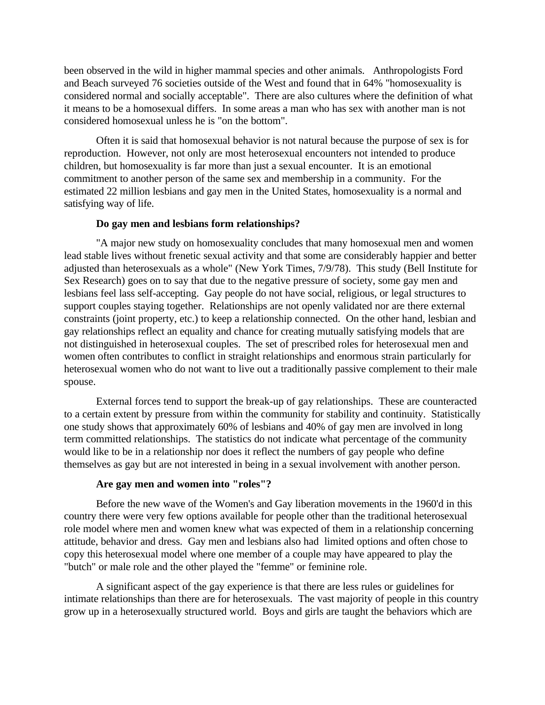been observed in the wild in higher mammal species and other animals. Anthropologists Ford and Beach surveyed 76 societies outside of the West and found that in 64% "homosexuality is considered normal and socially acceptable". There are also cultures where the definition of what it means to be a homosexual differs. In some areas a man who has sex with another man is not considered homosexual unless he is "on the bottom".

Often it is said that homosexual behavior is not natural because the purpose of sex is for reproduction. However, not only are most heterosexual encounters not intended to produce children, but homosexuality is far more than just a sexual encounter. It is an emotional commitment to another person of the same sex and membership in a community. For the estimated 22 million lesbians and gay men in the United States, homosexuality is a normal and satisfying way of life.

#### **Do gay men and lesbians form relationships?**

"A major new study on homosexuality concludes that many homosexual men and women lead stable lives without frenetic sexual activity and that some are considerably happier and better adjusted than heterosexuals as a whole" (New York Times, 7/9/78). This study (Bell Institute for Sex Research) goes on to say that due to the negative pressure of society, some gay men and lesbians feel lass self-accepting. Gay people do not have social, religious, or legal structures to support couples staying together. Relationships are not openly validated nor are there external constraints (joint property, etc.) to keep a relationship connected. On the other hand, lesbian and gay relationships reflect an equality and chance for creating mutually satisfying models that are not distinguished in heterosexual couples. The set of prescribed roles for heterosexual men and women often contributes to conflict in straight relationships and enormous strain particularly for heterosexual women who do not want to live out a traditionally passive complement to their male spouse.

External forces tend to support the break-up of gay relationships. These are counteracted to a certain extent by pressure from within the community for stability and continuity. Statistically one study shows that approximately 60% of lesbians and 40% of gay men are involved in long term committed relationships. The statistics do not indicate what percentage of the community would like to be in a relationship nor does it reflect the numbers of gay people who define themselves as gay but are not interested in being in a sexual involvement with another person.

#### **Are gay men and women into "roles"?**

Before the new wave of the Women's and Gay liberation movements in the 1960'd in this country there were very few options available for people other than the traditional heterosexual role model where men and women knew what was expected of them in a relationship concerning attitude, behavior and dress. Gay men and lesbians also had limited options and often chose to copy this heterosexual model where one member of a couple may have appeared to play the "butch" or male role and the other played the "femme" or feminine role.

A significant aspect of the gay experience is that there are less rules or guidelines for intimate relationships than there are for heterosexuals. The vast majority of people in this country grow up in a heterosexually structured world. Boys and girls are taught the behaviors which are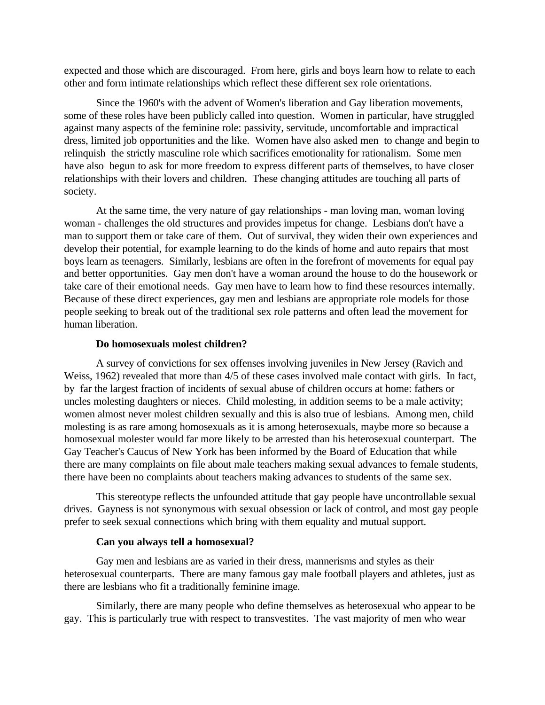expected and those which are discouraged. From here, girls and boys learn how to relate to each other and form intimate relationships which reflect these different sex role orientations.

Since the 1960's with the advent of Women's liberation and Gay liberation movements, some of these roles have been publicly called into question. Women in particular, have struggled against many aspects of the feminine role: passivity, servitude, uncomfortable and impractical dress, limited job opportunities and the like. Women have also asked men to change and begin to relinquish the strictly masculine role which sacrifices emotionality for rationalism. Some men have also begun to ask for more freedom to express different parts of themselves, to have closer relationships with their lovers and children. These changing attitudes are touching all parts of society.

At the same time, the very nature of gay relationships - man loving man, woman loving woman - challenges the old structures and provides impetus for change. Lesbians don't have a man to support them or take care of them. Out of survival, they widen their own experiences and develop their potential, for example learning to do the kinds of home and auto repairs that most boys learn as teenagers. Similarly, lesbians are often in the forefront of movements for equal pay and better opportunities. Gay men don't have a woman around the house to do the housework or take care of their emotional needs. Gay men have to learn how to find these resources internally. Because of these direct experiences, gay men and lesbians are appropriate role models for those people seeking to break out of the traditional sex role patterns and often lead the movement for human liberation.

#### **Do homosexuals molest children?**

A survey of convictions for sex offenses involving juveniles in New Jersey (Ravich and Weiss, 1962) revealed that more than 4/5 of these cases involved male contact with girls. In fact, by far the largest fraction of incidents of sexual abuse of children occurs at home: fathers or uncles molesting daughters or nieces. Child molesting, in addition seems to be a male activity; women almost never molest children sexually and this is also true of lesbians. Among men, child molesting is as rare among homosexuals as it is among heterosexuals, maybe more so because a homosexual molester would far more likely to be arrested than his heterosexual counterpart. The Gay Teacher's Caucus of New York has been informed by the Board of Education that while there are many complaints on file about male teachers making sexual advances to female students, there have been no complaints about teachers making advances to students of the same sex.

This stereotype reflects the unfounded attitude that gay people have uncontrollable sexual drives. Gayness is not synonymous with sexual obsession or lack of control, and most gay people prefer to seek sexual connections which bring with them equality and mutual support.

#### **Can you always tell a homosexual?**

Gay men and lesbians are as varied in their dress, mannerisms and styles as their heterosexual counterparts. There are many famous gay male football players and athletes, just as there are lesbians who fit a traditionally feminine image.

Similarly, there are many people who define themselves as heterosexual who appear to be gay. This is particularly true with respect to transvestites. The vast majority of men who wear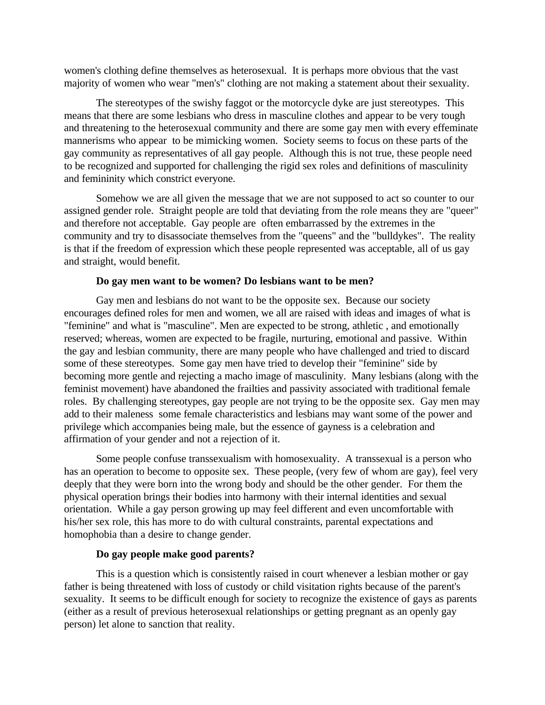women's clothing define themselves as heterosexual. It is perhaps more obvious that the vast majority of women who wear "men's" clothing are not making a statement about their sexuality.

The stereotypes of the swishy faggot or the motorcycle dyke are just stereotypes. This means that there are some lesbians who dress in masculine clothes and appear to be very tough and threatening to the heterosexual community and there are some gay men with every effeminate mannerisms who appear to be mimicking women. Society seems to focus on these parts of the gay community as representatives of all gay people. Although this is not true, these people need to be recognized and supported for challenging the rigid sex roles and definitions of masculinity and femininity which constrict everyone.

Somehow we are all given the message that we are not supposed to act so counter to our assigned gender role. Straight people are told that deviating from the role means they are "queer" and therefore not acceptable. Gay people are often embarrassed by the extremes in the community and try to disassociate themselves from the "queens" and the "bulldykes". The reality is that if the freedom of expression which these people represented was acceptable, all of us gay and straight, would benefit.

#### **Do gay men want to be women? Do lesbians want to be men?**

Gay men and lesbians do not want to be the opposite sex. Because our society encourages defined roles for men and women, we all are raised with ideas and images of what is "feminine" and what is "masculine". Men are expected to be strong, athletic , and emotionally reserved; whereas, women are expected to be fragile, nurturing, emotional and passive. Within the gay and lesbian community, there are many people who have challenged and tried to discard some of these stereotypes. Some gay men have tried to develop their "feminine" side by becoming more gentle and rejecting a macho image of masculinity. Many lesbians (along with the feminist movement) have abandoned the frailties and passivity associated with traditional female roles. By challenging stereotypes, gay people are not trying to be the opposite sex. Gay men may add to their maleness some female characteristics and lesbians may want some of the power and privilege which accompanies being male, but the essence of gayness is a celebration and affirmation of your gender and not a rejection of it.

Some people confuse transsexualism with homosexuality. A transsexual is a person who has an operation to become to opposite sex. These people, (very few of whom are gay), feel very deeply that they were born into the wrong body and should be the other gender. For them the physical operation brings their bodies into harmony with their internal identities and sexual orientation. While a gay person growing up may feel different and even uncomfortable with his/her sex role, this has more to do with cultural constraints, parental expectations and homophobia than a desire to change gender.

#### **Do gay people make good parents?**

This is a question which is consistently raised in court whenever a lesbian mother or gay father is being threatened with loss of custody or child visitation rights because of the parent's sexuality. It seems to be difficult enough for society to recognize the existence of gays as parents (either as a result of previous heterosexual relationships or getting pregnant as an openly gay person) let alone to sanction that reality.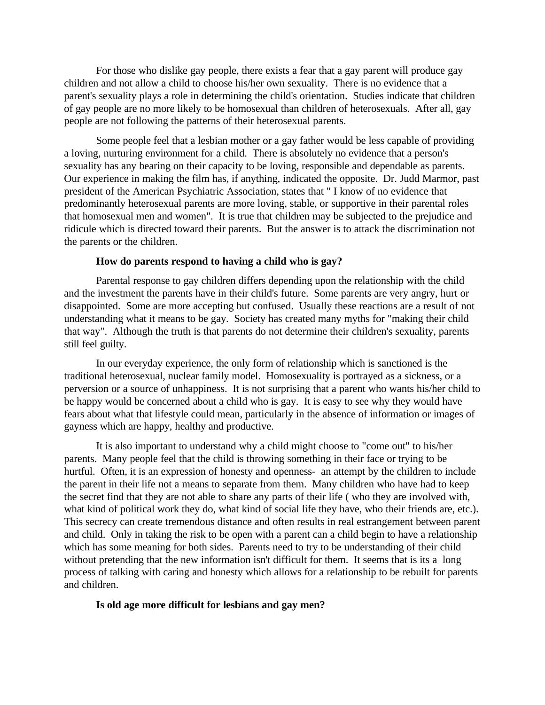For those who dislike gay people, there exists a fear that a gay parent will produce gay children and not allow a child to choose his/her own sexuality. There is no evidence that a parent's sexuality plays a role in determining the child's orientation. Studies indicate that children of gay people are no more likely to be homosexual than children of heterosexuals. After all, gay people are not following the patterns of their heterosexual parents.

Some people feel that a lesbian mother or a gay father would be less capable of providing a loving, nurturing environment for a child. There is absolutely no evidence that a person's sexuality has any bearing on their capacity to be loving, responsible and dependable as parents. Our experience in making the film has, if anything, indicated the opposite. Dr. Judd Marmor, past president of the American Psychiatric Association, states that " I know of no evidence that predominantly heterosexual parents are more loving, stable, or supportive in their parental roles that homosexual men and women". It is true that children may be subjected to the prejudice and ridicule which is directed toward their parents. But the answer is to attack the discrimination not the parents or the children.

#### **How do parents respond to having a child who is gay?**

Parental response to gay children differs depending upon the relationship with the child and the investment the parents have in their child's future. Some parents are very angry, hurt or disappointed. Some are more accepting but confused. Usually these reactions are a result of not understanding what it means to be gay. Society has created many myths for "making their child that way". Although the truth is that parents do not determine their children's sexuality, parents still feel guilty.

In our everyday experience, the only form of relationship which is sanctioned is the traditional heterosexual, nuclear family model. Homosexuality is portrayed as a sickness, or a perversion or a source of unhappiness. It is not surprising that a parent who wants his/her child to be happy would be concerned about a child who is gay. It is easy to see why they would have fears about what that lifestyle could mean, particularly in the absence of information or images of gayness which are happy, healthy and productive.

It is also important to understand why a child might choose to "come out" to his/her parents. Many people feel that the child is throwing something in their face or trying to be hurtful. Often, it is an expression of honesty and openness- an attempt by the children to include the parent in their life not a means to separate from them. Many children who have had to keep the secret find that they are not able to share any parts of their life ( who they are involved with, what kind of political work they do, what kind of social life they have, who their friends are, etc.). This secrecy can create tremendous distance and often results in real estrangement between parent and child. Only in taking the risk to be open with a parent can a child begin to have a relationship which has some meaning for both sides. Parents need to try to be understanding of their child without pretending that the new information isn't difficult for them. It seems that is its a long process of talking with caring and honesty which allows for a relationship to be rebuilt for parents and children.

#### **Is old age more difficult for lesbians and gay men?**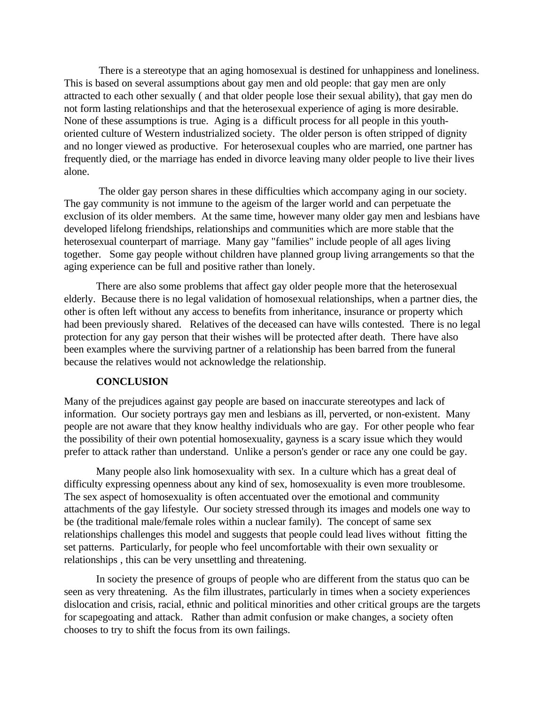There is a stereotype that an aging homosexual is destined for unhappiness and loneliness. This is based on several assumptions about gay men and old people: that gay men are only attracted to each other sexually ( and that older people lose their sexual ability), that gay men do not form lasting relationships and that the heterosexual experience of aging is more desirable. None of these assumptions is true. Aging is a difficult process for all people in this youthoriented culture of Western industrialized society. The older person is often stripped of dignity and no longer viewed as productive. For heterosexual couples who are married, one partner has frequently died, or the marriage has ended in divorce leaving many older people to live their lives alone.

 The older gay person shares in these difficulties which accompany aging in our society. The gay community is not immune to the ageism of the larger world and can perpetuate the exclusion of its older members. At the same time, however many older gay men and lesbians have developed lifelong friendships, relationships and communities which are more stable that the heterosexual counterpart of marriage. Many gay "families" include people of all ages living together. Some gay people without children have planned group living arrangements so that the aging experience can be full and positive rather than lonely.

There are also some problems that affect gay older people more that the heterosexual elderly. Because there is no legal validation of homosexual relationships, when a partner dies, the other is often left without any access to benefits from inheritance, insurance or property which had been previously shared. Relatives of the deceased can have wills contested. There is no legal protection for any gay person that their wishes will be protected after death. There have also been examples where the surviving partner of a relationship has been barred from the funeral because the relatives would not acknowledge the relationship.

#### **CONCLUSION**

Many of the prejudices against gay people are based on inaccurate stereotypes and lack of information. Our society portrays gay men and lesbians as ill, perverted, or non-existent. Many people are not aware that they know healthy individuals who are gay. For other people who fear the possibility of their own potential homosexuality, gayness is a scary issue which they would prefer to attack rather than understand. Unlike a person's gender or race any one could be gay.

Many people also link homosexuality with sex. In a culture which has a great deal of difficulty expressing openness about any kind of sex, homosexuality is even more troublesome. The sex aspect of homosexuality is often accentuated over the emotional and community attachments of the gay lifestyle. Our society stressed through its images and models one way to be (the traditional male/female roles within a nuclear family). The concept of same sex relationships challenges this model and suggests that people could lead lives without fitting the set patterns. Particularly, for people who feel uncomfortable with their own sexuality or relationships , this can be very unsettling and threatening.

In society the presence of groups of people who are different from the status quo can be seen as very threatening. As the film illustrates, particularly in times when a society experiences dislocation and crisis, racial, ethnic and political minorities and other critical groups are the targets for scapegoating and attack. Rather than admit confusion or make changes, a society often chooses to try to shift the focus from its own failings.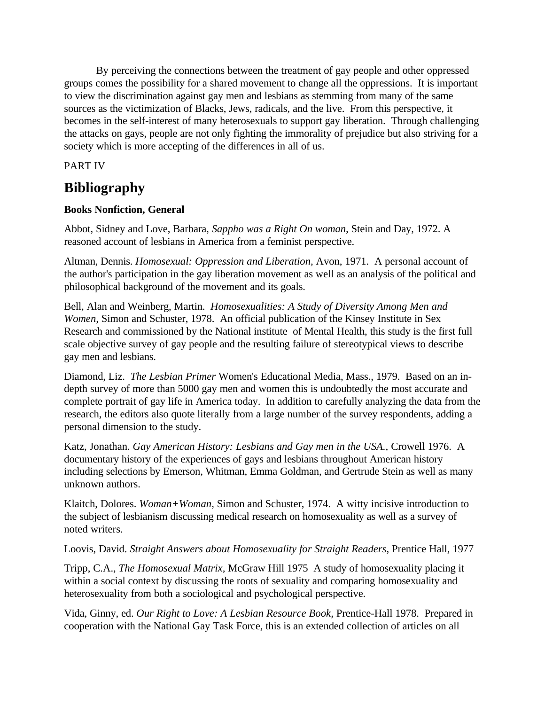By perceiving the connections between the treatment of gay people and other oppressed groups comes the possibility for a shared movement to change all the oppressions. It is important to view the discrimination against gay men and lesbians as stemming from many of the same sources as the victimization of Blacks, Jews, radicals, and the live. From this perspective, it becomes in the self-interest of many heterosexuals to support gay liberation. Through challenging the attacks on gays, people are not only fighting the immorality of prejudice but also striving for a society which is more accepting of the differences in all of us.

PART IV

# **Bibliography**

# **Books Nonfiction, General**

Abbot, Sidney and Love, Barbara, *Sappho was a Right On woman,* Stein and Day, 1972. A reasoned account of lesbians in America from a feminist perspective.

Altman, Dennis. *Homosexual: Oppression and Liberation,* Avon, 1971. A personal account of the author's participation in the gay liberation movement as well as an analysis of the political and philosophical background of the movement and its goals.

Bell, Alan and Weinberg, Martin. *Homosexualities: A Study of Diversity Among Men and Women,* Simon and Schuster, 1978. An official publication of the Kinsey Institute in Sex Research and commissioned by the National institute of Mental Health, this study is the first full scale objective survey of gay people and the resulting failure of stereotypical views to describe gay men and lesbians.

Diamond, Liz. *The Lesbian Primer* Women's Educational Media, Mass., 1979. Based on an indepth survey of more than 5000 gay men and women this is undoubtedly the most accurate and complete portrait of gay life in America today. In addition to carefully analyzing the data from the research, the editors also quote literally from a large number of the survey respondents, adding a personal dimension to the study.

Katz, Jonathan. *Gay American History: Lesbians and Gay men in the USA.,* Crowell 1976. A documentary history of the experiences of gays and lesbians throughout American history including selections by Emerson, Whitman, Emma Goldman, and Gertrude Stein as well as many unknown authors.

Klaitch, Dolores. *Woman+Woman,* Simon and Schuster, 1974. A witty incisive introduction to the subject of lesbianism discussing medical research on homosexuality as well as a survey of noted writers.

Loovis, David. *Straight Answers about Homosexuality for Straight Readers,* Prentice Hall, 1977

Tripp, C.A., *The Homosexual Matrix,* McGraw Hill 1975 A study of homosexuality placing it within a social context by discussing the roots of sexuality and comparing homosexuality and heterosexuality from both a sociological and psychological perspective.

Vida, Ginny, ed. *Our Right to Love: A Lesbian Resource Book,* Prentice-Hall 1978. Prepared in cooperation with the National Gay Task Force, this is an extended collection of articles on all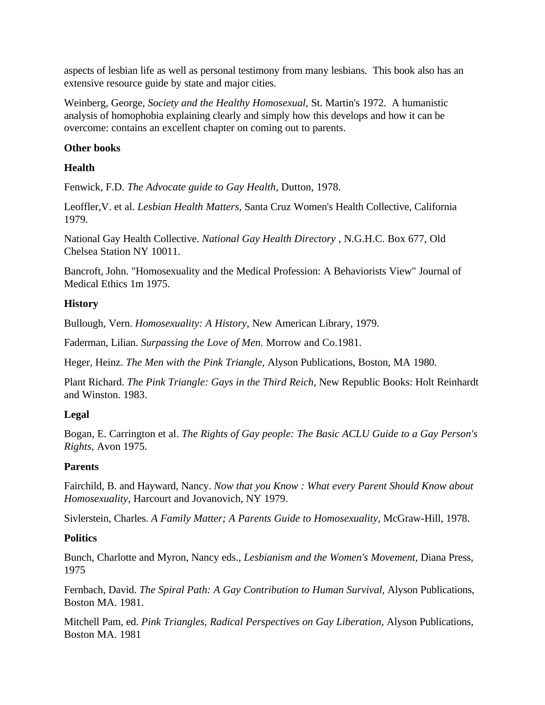aspects of lesbian life as well as personal testimony from many lesbians. This book also has an extensive resource guide by state and major cities.

Weinberg, George, *Society and the Healthy Homosexual,* St. Martin's 1972. A humanistic analysis of homophobia explaining clearly and simply how this develops and how it can be overcome: contains an excellent chapter on coming out to parents.

## **Other books**

## **Health**

Fenwick, F.D. *The Advocate guide to Gay Health,* Dutton, 1978.

Leoffler,V. et al. *Lesbian Health Matters,* Santa Cruz Women's Health Collective, California 1979.

National Gay Health Collective. *National Gay Health Directory* , N.G.H.C. Box 677, Old Chelsea Station NY 10011.

Bancroft, John. "Homosexuality and the Medical Profession: A Behaviorists View" Journal of Medical Ethics 1m 1975.

### **History**

Bullough, Vern. *Homosexuality: A History,* New American Library, 1979.

Faderman, Lilian. *Surpassing the Love of Men.* Morrow and Co.1981.

Heger, Heinz. *The Men with the Pink Triangle,* Alyson Publications, Boston, MA 1980.

Plant Richard. *The Pink Triangle: Gays in the Third Reich,* New Republic Books: Holt Reinhardt and Winston. 1983.

# **Legal**

Bogan, E. Carrington et al. *The Rights of Gay people: The Basic ACLU Guide to a Gay Person's Rights,* Avon 1975.

# **Parents**

Fairchild, B. and Hayward, Nancy. *Now that you Know : What every Parent Should Know about Homosexuality,* Harcourt and Jovanovich, NY 1979.

Sivlerstein, Charles. *A Family Matter; A Parents Guide to Homosexuality,* McGraw-Hill, 1978.

# **Politics**

Bunch, Charlotte and Myron, Nancy eds., *Lesbianism and the Women's Movement,* Diana Press, 1975

Fernbach, David. *The Spiral Path: A Gay Contribution to Human Survival,* Alyson Publications, Boston MA. 1981.

Mitchell Pam, ed. *Pink Triangles, Radical Perspectives on Gay Liberation,* Alyson Publications, Boston MA. 1981